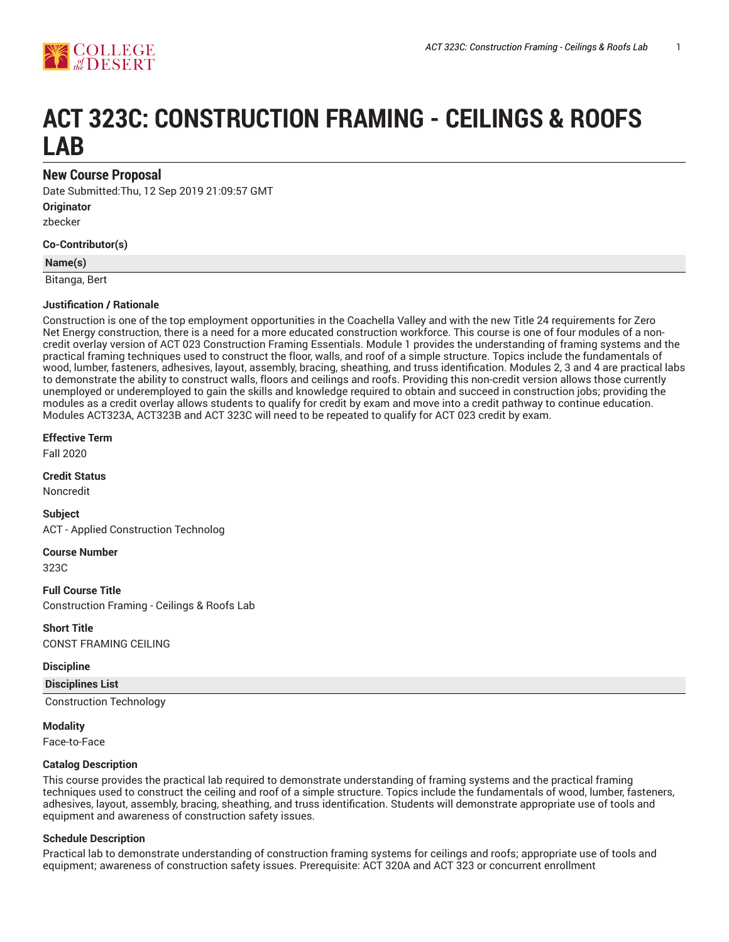

# **ACT 323C: CONSTRUCTION FRAMING - CEILINGS & ROOFS LAB**

## **New Course Proposal**

Date Submitted:Thu, 12 Sep 2019 21:09:57 GMT **Originator** zbecker

**Co-Contributor(s)**

# **Name(s)**

Bitanga, Bert

#### **Justification / Rationale**

Construction is one of the top employment opportunities in the Coachella Valley and with the new Title 24 requirements for Zero Net Energy construction, there is a need for a more educated construction workforce. This course is one of four modules of a noncredit overlay version of ACT 023 Construction Framing Essentials. Module 1 provides the understanding of framing systems and the practical framing techniques used to construct the floor, walls, and roof of a simple structure. Topics include the fundamentals of wood, lumber, fasteners, adhesives, layout, assembly, bracing, sheathing, and truss identification. Modules 2, 3 and 4 are practical labs to demonstrate the ability to construct walls, floors and ceilings and roofs. Providing this non-credit version allows those currently unemployed or underemployed to gain the skills and knowledge required to obtain and succeed in construction jobs; providing the modules as a credit overlay allows students to qualify for credit by exam and move into a credit pathway to continue education. Modules ACT323A, ACT323B and ACT 323C will need to be repeated to qualify for ACT 023 credit by exam.

#### **Effective Term**

Fall 2020

**Credit Status**

Noncredit

**Subject** ACT - Applied Construction Technolog

**Course Number**

323C

**Full Course Title** Construction Framing - Ceilings & Roofs Lab

**Short Title** CONST FRAMING CEILING

#### **Discipline**

**Disciplines List** Construction Technology

**Modality** Face-to-Face

**Catalog Description**

This course provides the practical lab required to demonstrate understanding of framing systems and the practical framing techniques used to construct the ceiling and roof of a simple structure. Topics include the fundamentals of wood, lumber, fasteners, adhesives, layout, assembly, bracing, sheathing, and truss identification. Students will demonstrate appropriate use of tools and equipment and awareness of construction safety issues.

#### **Schedule Description**

Practical lab to demonstrate understanding of construction framing systems for ceilings and roofs; appropriate use of tools and equipment; awareness of construction safety issues. Prerequisite: ACT 320A and ACT 323 or concurrent enrollment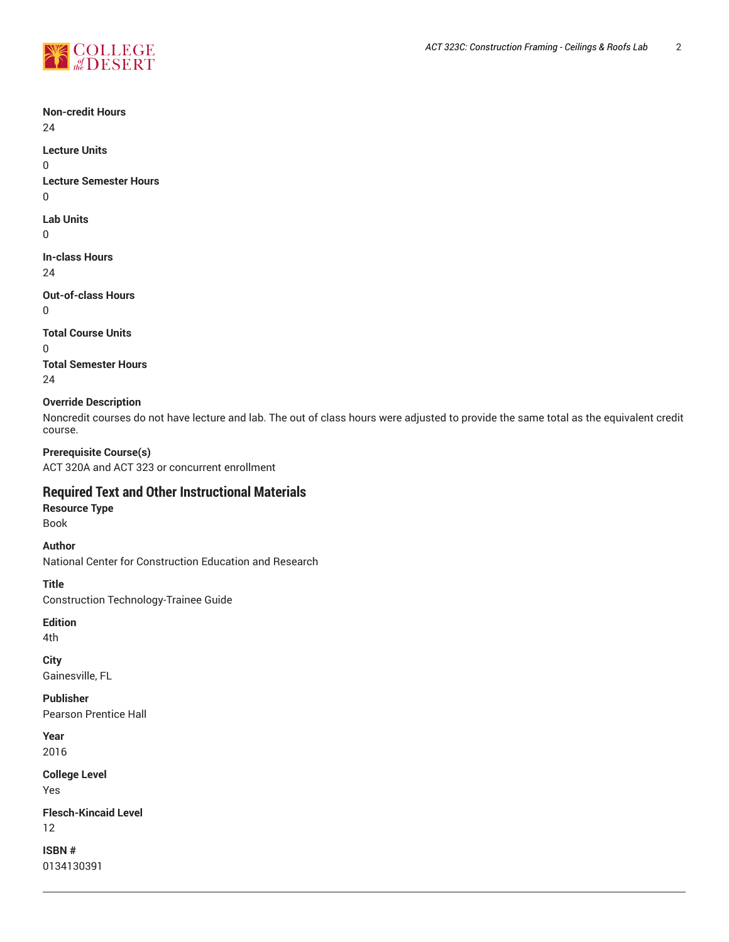

**Non-credit Hours** 24 **Lecture Units** 0 **Lecture Semester Hours** 0 **Lab Units**  $\Omega$ **In-class Hours** 24 **Out-of-class Hours** 0 **Total Course Units** 0 **Total Semester Hours** 24 **Override Description** Noncredit courses do not have lecture and lab. The out of class hours were adjusted to provide the same total as the equivalent credit course. **Prerequisite Course(s)** ACT 320A and ACT 323 or concurrent enrollment **Required Text and Other Instructional Materials Resource Type** Book **Author** National Center for Construction Education and Research **Title** Construction Technology-Trainee Guide **Edition** 4th **City** Gainesville, FL **Publisher** Pearson Prentice Hall **Year** 2016 **College Level** Yes **Flesch-Kincaid Level** 12 **ISBN #** 0134130391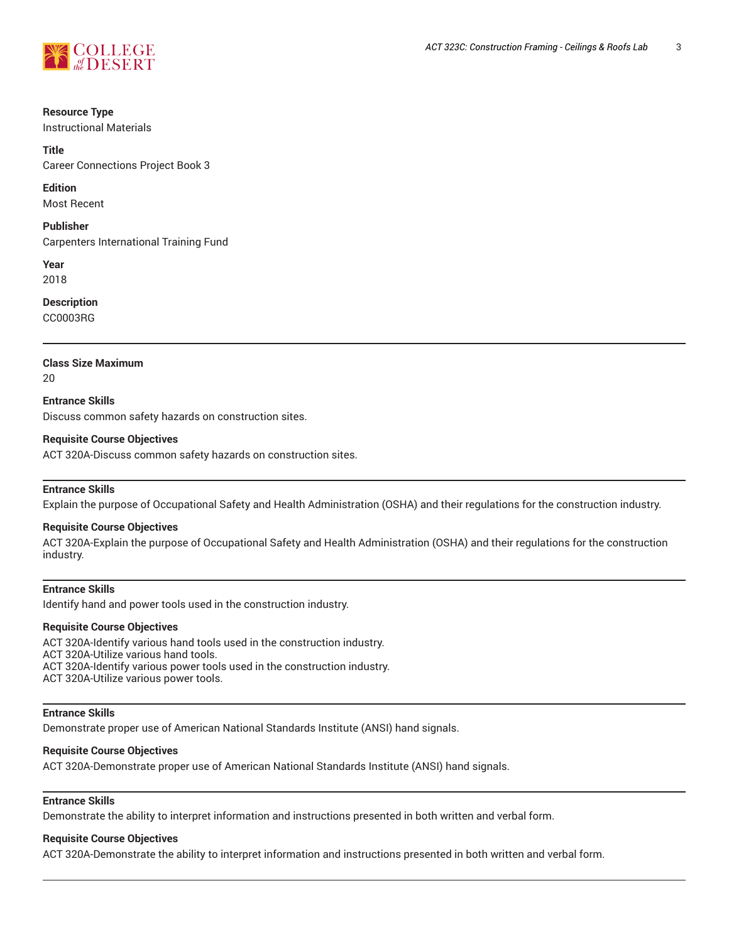

#### **Resource Type**

Instructional Materials

#### **Title**

Career Connections Project Book 3

#### **Edition**

Most Recent

#### **Publisher**

Carpenters International Training Fund

**Year** 2018

#### **Description**

CC0003RG

#### **Class Size Maximum**

20

## **Entrance Skills**

Discuss common safety hazards on construction sites.

#### **Requisite Course Objectives**

ACT 320A-Discuss common safety hazards on construction sites.

#### **Entrance Skills**

Explain the purpose of Occupational Safety and Health Administration (OSHA) and their regulations for the construction industry.

#### **Requisite Course Objectives**

ACT 320A-Explain the purpose of Occupational Safety and Health Administration (OSHA) and their regulations for the construction industry.

## **Entrance Skills**

Identify hand and power tools used in the construction industry.

#### **Requisite Course Objectives**

ACT 320A-Identify various hand tools used in the construction industry.

ACT 320A-Utilize various hand tools.

ACT 320A-Identify various power tools used in the construction industry.

ACT 320A-Utilize various power tools.

#### **Entrance Skills**

Demonstrate proper use of American National Standards Institute (ANSI) hand signals.

#### **Requisite Course Objectives**

ACT 320A-Demonstrate proper use of American National Standards Institute (ANSI) hand signals.

#### **Entrance Skills**

Demonstrate the ability to interpret information and instructions presented in both written and verbal form.

#### **Requisite Course Objectives**

ACT 320A-Demonstrate the ability to interpret information and instructions presented in both written and verbal form.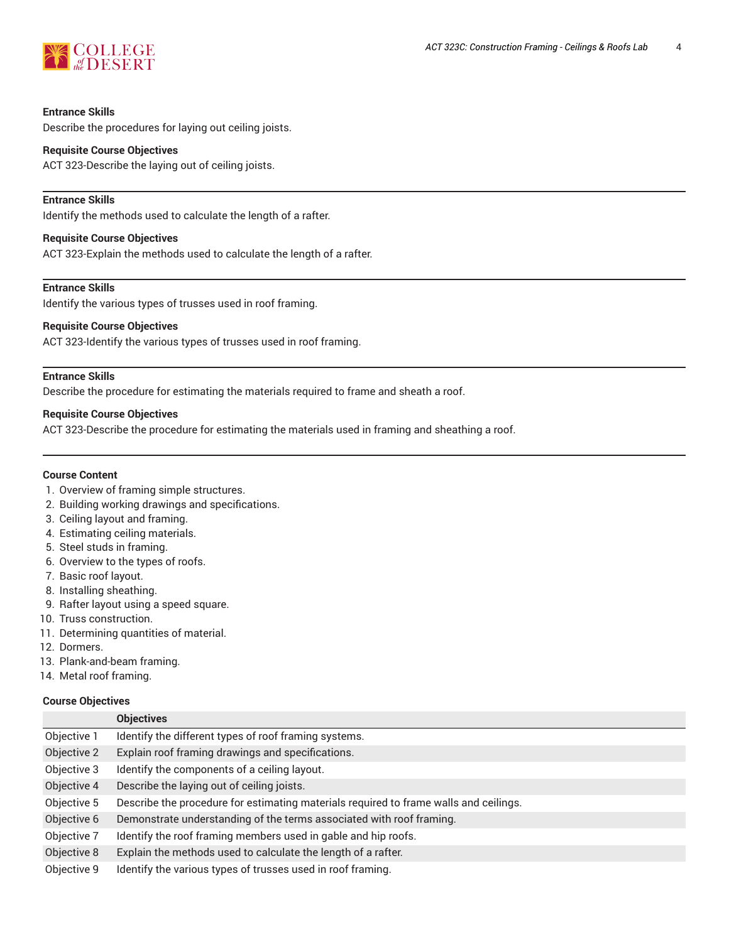

#### **Entrance Skills**

Describe the procedures for laying out ceiling joists.

#### **Requisite Course Objectives**

ACT 323-Describe the laying out of ceiling joists.

#### **Entrance Skills**

Identify the methods used to calculate the length of a rafter.

#### **Requisite Course Objectives**

ACT 323-Explain the methods used to calculate the length of a rafter.

## **Entrance Skills**

Identify the various types of trusses used in roof framing.

#### **Requisite Course Objectives**

ACT 323-Identify the various types of trusses used in roof framing.

#### **Entrance Skills**

Describe the procedure for estimating the materials required to frame and sheath a roof.

#### **Requisite Course Objectives**

ACT 323-Describe the procedure for estimating the materials used in framing and sheathing a roof.

#### **Course Content**

- 1. Overview of framing simple structures.
- 2. Building working drawings and specifications.
- 3. Ceiling layout and framing.
- 4. Estimating ceiling materials.
- 5. Steel studs in framing.
- 6. Overview to the types of roofs.
- 7. Basic roof layout.
- 8. Installing sheathing.
- 9. Rafter layout using a speed square.
- 10. Truss construction.
- 11. Determining quantities of material.
- 12. Dormers.
- 13. Plank-and-beam framing.
- 14. Metal roof framing.

#### **Course Objectives**

|             | <b>Objectives</b>                                                                     |  |
|-------------|---------------------------------------------------------------------------------------|--|
| Objective 1 | Identify the different types of roof framing systems.                                 |  |
| Objective 2 | Explain roof framing drawings and specifications.                                     |  |
| Objective 3 | Identify the components of a ceiling layout.                                          |  |
| Objective 4 | Describe the laying out of ceiling joists.                                            |  |
| Objective 5 | Describe the procedure for estimating materials required to frame walls and ceilings. |  |
| Objective 6 | Demonstrate understanding of the terms associated with roof framing.                  |  |
| Objective 7 | Identify the roof framing members used in gable and hip roofs.                        |  |
| Objective 8 | Explain the methods used to calculate the length of a rafter.                         |  |
| Objective 9 | Identify the various types of trusses used in roof framing.                           |  |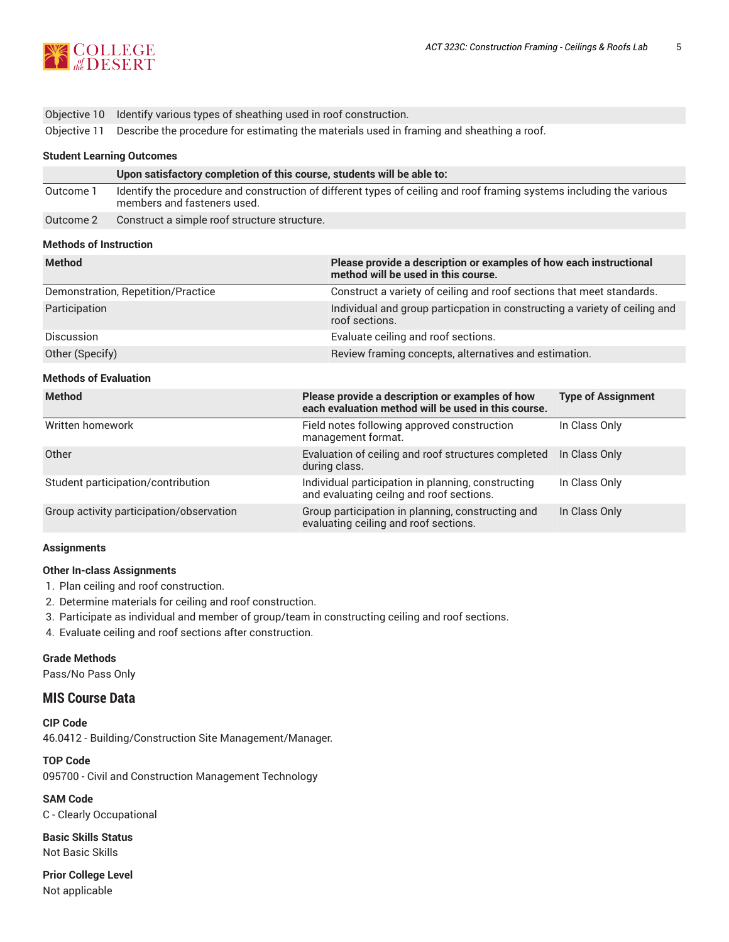

Objective 11 Describe the procedure for estimating the materials used in framing and sheathing a roof.

#### **Student Learning Outcomes**

|           | Upon satisfactory completion of this course, students will be able to:                                                                              |
|-----------|-----------------------------------------------------------------------------------------------------------------------------------------------------|
| Outcome 1 | Identify the procedure and construction of different types of ceiling and roof framing systems including the various<br>members and fasteners used. |
| Outcome 2 | Construct a simple roof structure structure.                                                                                                        |

#### **Methods of Instruction**

| <b>Method</b>                            | Please provide a description or examples of how each instructional<br>method will be used in this course. |                                                                            |  |  |  |
|------------------------------------------|-----------------------------------------------------------------------------------------------------------|----------------------------------------------------------------------------|--|--|--|
| Demonstration, Repetition/Practice       |                                                                                                           | Construct a variety of ceiling and roof sections that meet standards.      |  |  |  |
| Participation                            | roof sections.                                                                                            | Individual and group particpation in constructing a variety of ceiling and |  |  |  |
| Discussion                               | Evaluate ceiling and roof sections.                                                                       |                                                                            |  |  |  |
| Other (Specify)                          |                                                                                                           | Review framing concepts, alternatives and estimation.                      |  |  |  |
| <b>Methods of Evaluation</b>             |                                                                                                           |                                                                            |  |  |  |
| <b>Method</b>                            | Please provide a description or examples of how<br>each evaluation method will be used in this course.    | <b>Type of Assignment</b>                                                  |  |  |  |
| Written homework                         | Field notes following approved construction<br>management format.                                         | In Class Only                                                              |  |  |  |
| Other                                    | Evaluation of ceiling and roof structures completed<br>during class.                                      | In Class Only                                                              |  |  |  |
| Student participation/contribution       | Individual participation in planning, constructing<br>and evaluating ceilng and roof sections.            | In Class Only                                                              |  |  |  |
| Group activity participation/observation | Group participation in planning, constructing and<br>evaluating ceiling and roof sections.                | In Class Only                                                              |  |  |  |

#### **Assignments**

#### **Other In-class Assignments**

- 1. Plan ceiling and roof construction.
- 2. Determine materials for ceiling and roof construction.
- 3. Participate as individual and member of group/team in constructing ceiling and roof sections.
- 4. Evaluate ceiling and roof sections after construction.

## **Grade Methods**

Pass/No Pass Only

# **MIS Course Data**

**CIP Code** 46.0412 - Building/Construction Site Management/Manager.

**TOP Code** 095700 - Civil and Construction Management Technology

**SAM Code** C - Clearly Occupational

**Basic Skills Status** Not Basic Skills

**Prior College Level** Not applicable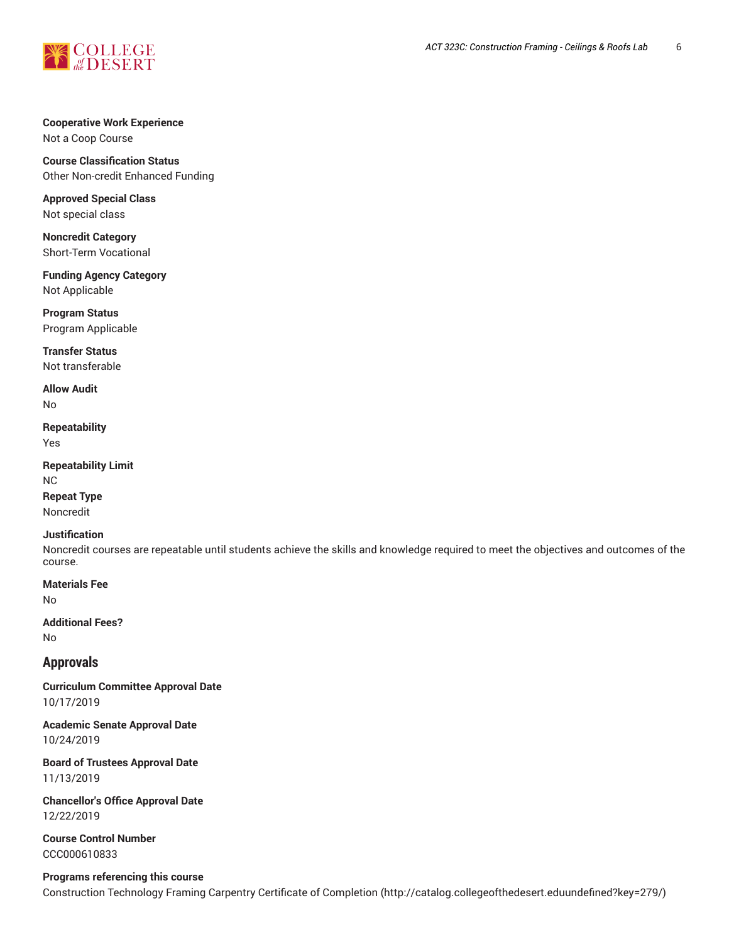

### **Cooperative Work Experience**

Not a Coop Course

# **Course Classification Status**

Other Non-credit Enhanced Funding

**Approved Special Class** Not special class

**Noncredit Category** Short-Term Vocational

**Funding Agency Category** Not Applicable

**Program Status** Program Applicable

**Transfer Status** Not transferable

**Allow Audit**

No

**Repeatability** Yes

**Repeatability Limit** NC

**Repeat Type** Noncredit

## **Justification**

Noncredit courses are repeatable until students achieve the skills and knowledge required to meet the objectives and outcomes of the course.

**Materials Fee**

No

**Additional Fees?** No

## **Approvals**

**Curriculum Committee Approval Date** 10/17/2019

**Academic Senate Approval Date** 10/24/2019

**Board of Trustees Approval Date** 11/13/2019

**Chancellor's Office Approval Date** 12/22/2019

**Course Control Number** CCC000610833

## **Programs referencing this course**

Construction Technology Framing Carpentry Certificate of Completion (http://catalog.collegeofthedesert.eduundefined?key=279/)